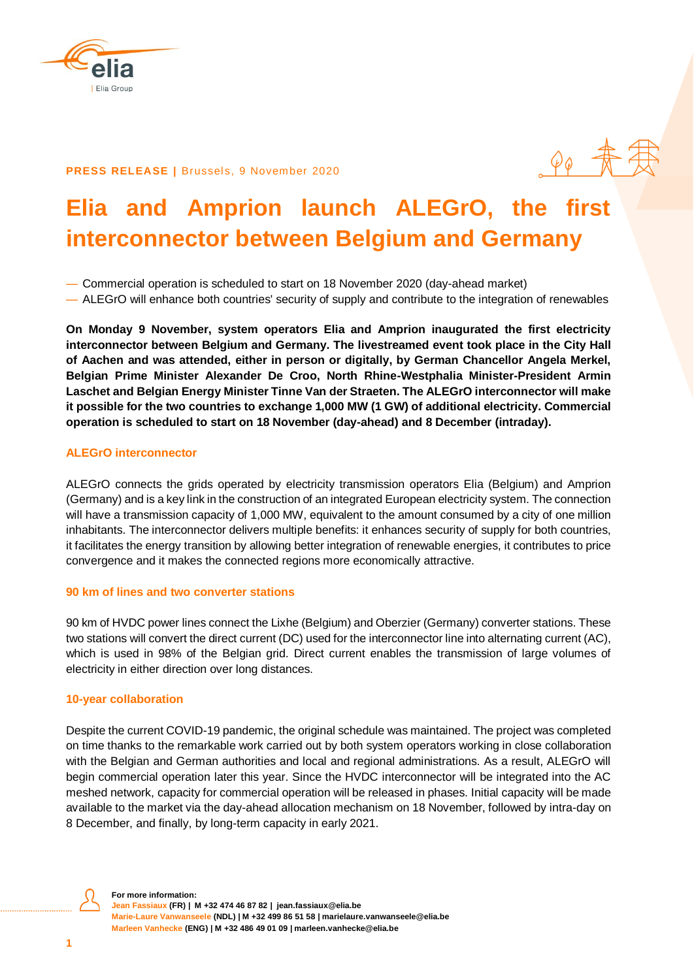

# **PRESS RELEASE | Brussels, 9 November 2020**

# **Elia and Amprion launch ALEGrO, the first interconnector between Belgium and Germany**

— Commercial operation is scheduled to start on 18 November 2020 (day-ahead market)

— ALEGrO will enhance both countries' security of supply and contribute to the integration of renewables

**On Monday 9 November, system operators Elia and Amprion inaugurated the first electricity interconnector between Belgium and Germany. The livestreamed event took place in the City Hall of Aachen and was attended, either in person or digitally, by German Chancellor Angela Merkel, Belgian Prime Minister Alexander De Croo, North Rhine-Westphalia Minister-President Armin Laschet and Belgian Energy Minister Tinne Van der Straeten. The ALEGrO interconnector will make it possible for the two countries to exchange 1,000 MW (1 GW) of additional electricity. Commercial operation is scheduled to start on 18 November (day-ahead) and 8 December (intraday).**

# **ALEGrO interconnector**

ALEGrO connects the grids operated by electricity transmission operators Elia (Belgium) and Amprion (Germany) and is a key link in the construction of an integrated European electricity system. The connection will have a transmission capacity of 1,000 MW, equivalent to the amount consumed by a city of one million inhabitants. The interconnector delivers multiple benefits: it enhances security of supply for both countries, it facilitates the energy transition by allowing better integration of renewable energies, it contributes to price convergence and it makes the connected regions more economically attractive.

# **90 km of lines and two converter stations**

90 km of HVDC power lines connect the Lixhe (Belgium) and Oberzier (Germany) converter stations. These two stations will convert the direct current (DC) used for the interconnector line into alternating current (AC), which is used in 98% of the Belgian grid. Direct current enables the transmission of large volumes of electricity in either direction over long distances.

# **10-year collaboration**

Despite the current COVID-19 pandemic, the original schedule was maintained. The project was completed on time thanks to the remarkable work carried out by both system operators working in close collaboration with the Belgian and German authorities and local and regional administrations. As a result, ALEGrO will begin commercial operation later this year. Since the HVDC interconnector will be integrated into the AC meshed network, capacity for commercial operation will be released in phases. Initial capacity will be made available to the market via the day-ahead allocation mechanism on 18 November, followed by intra-day on 8 December, and finally, by long-term capacity in early 2021.



**For more information: Jean Fassiaux (FR) | M +32 474 46 87 82 | [jean.fassiaux@elia.be](mailto:jean.fassiaux@elia.be) Marie-Laure Vanwanseele (NDL) | M +32 499 86 51 58 | marielaure.vanwanseele@elia.be Marleen Vanhecke (ENG) | M +32 486 49 01 09 | marleen.vanhecke@elia.be**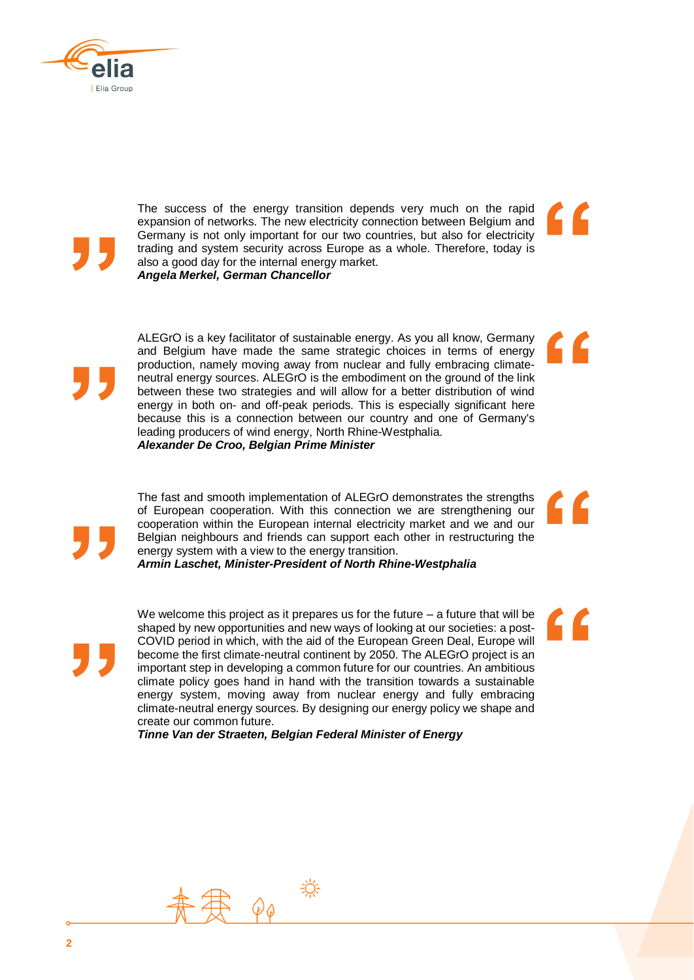



The success of the energy transition depends very much on the rapid expansion of networks. The new electricity connection between Belgium and Germany is not only important for our two countries, but also for electricity trading and system security across Europe as a whole. Therefore, today is also a good day for the internal energy market. *Angela Merkel, German Chancellor*



The fast and smooth implementation of ALEGrO demonstrates the strengths of European cooperation. With this connection we are strengthening our cooperation within the European internal electricity market and we and our Belgian neighbours and friends can support each other in restructuring the energy system with a view to the energy transition.

*Armin Laschet, Minister-President of North Rhine-Westphalia*

We welcome this project as it prepares us for the future – a future that will be shaped by new opportunities and new ways of looking at our societies: a post-COVID period in which, with the aid of the European Green Deal, Europe will become the first climate-neutral continent by 2050. The ALEGrO project is an important step in developing a common future for our countries. An ambitious climate policy goes hand in hand with the transition towards a sustainable energy system, moving away from nuclear energy and fully embracing climate-neutral energy sources. By designing our energy policy we shape and create our common future.

*Tinne Van der Straeten, Belgian Federal Minister of Energy*